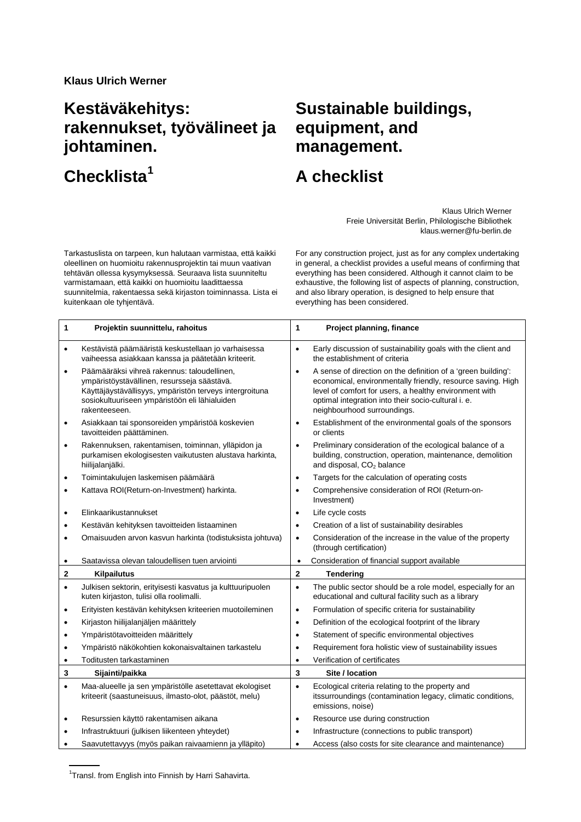## **Kestäväkehitys: rakennukset, työvälineet ja johtaminen.**

**Checklista[1](#page-0-0)**

## **Sustainable buildings, equipment, and management.**

## **A checklist**

Klaus Ulrich Werner Freie Universität Berlin, Philologische Bibliothek klaus.werner@fu-berlin.de

Tarkastuslista on tarpeen, kun halutaan varmistaa, että kaikki oleellinen on huomioitu rakennusprojektin tai muun vaativan tehtävän ollessa kysymyksessä. Seuraava lista suunniteltu varmistamaan, että kaikki on huomioitu laadittaessa suunnitelmia, rakentaessa sekä kirjaston toiminnassa. Lista ei kuitenkaan ole tyhjentävä.

For any construction project, just as for any complex undertaking in general, a checklist provides a useful means of confirming that everything has been considered. Although it cannot claim to be exhaustive, the following list of aspects of planning, construction, and also library operation, is designed to help ensure that everything has been considered.

| 1         | Projektin suunnittelu, rahoitus                                                                                                                                                                                         | 1            | Project planning, finance                                                                                                                                                                                                                                                    |
|-----------|-------------------------------------------------------------------------------------------------------------------------------------------------------------------------------------------------------------------------|--------------|------------------------------------------------------------------------------------------------------------------------------------------------------------------------------------------------------------------------------------------------------------------------------|
| $\bullet$ | Kestävistä päämääristä keskustellaan jo varhaisessa<br>vaiheessa asiakkaan kanssa ja päätetään kriteerit.                                                                                                               | $\bullet$    | Early discussion of sustainability goals with the client and<br>the establishment of criteria                                                                                                                                                                                |
| $\bullet$ | Päämääräksi vihreä rakennus: taloudellinen,<br>ympäristöystävällinen, resursseja säästävä.<br>Käyttäjäystävällisyys, ympäristön terveys intergroituna<br>sosiokultuuriseen ympäristöön eli lähialuiden<br>rakenteeseen. | $\bullet$    | A sense of direction on the definition of a 'green building':<br>economical, environmentally friendly, resource saving. High<br>level of comfort for users, a healthy environment with<br>optimal integration into their socio-cultural i. e.<br>neighbourhood surroundings. |
| $\bullet$ | Asiakkaan tai sponsoreiden ympäristöä koskevien<br>tavoitteiden päättäminen.                                                                                                                                            | $\bullet$    | Establishment of the environmental goals of the sponsors<br>or clients                                                                                                                                                                                                       |
| $\bullet$ | Rakennuksen, rakentamisen, toiminnan, ylläpidon ja<br>purkamisen ekologisesten vaikutusten alustava harkinta,<br>hiilijalanjälki.                                                                                       | $\bullet$    | Preliminary consideration of the ecological balance of a<br>building, construction, operation, maintenance, demolition<br>and disposal, CO <sub>2</sub> balance                                                                                                              |
| $\bullet$ | Toimintakulujen laskemisen päämäärä                                                                                                                                                                                     | $\bullet$    | Targets for the calculation of operating costs                                                                                                                                                                                                                               |
| $\bullet$ | Kattava ROI(Return-on-Investment) harkinta.                                                                                                                                                                             | $\bullet$    | Comprehensive consideration of ROI (Return-on-<br>Investment)                                                                                                                                                                                                                |
| ٠         | Elinkaarikustannukset                                                                                                                                                                                                   |              | Life cycle costs                                                                                                                                                                                                                                                             |
| $\bullet$ | Kestävän kehityksen tavoitteiden listaaminen                                                                                                                                                                            | $\bullet$    | Creation of a list of sustainability desirables                                                                                                                                                                                                                              |
| $\bullet$ | Omaisuuden arvon kasvun harkinta (todistuksista johtuva)                                                                                                                                                                | $\bullet$    | Consideration of the increase in the value of the property<br>(through certification)                                                                                                                                                                                        |
| ٠         | Saatavissa olevan taloudellisen tuen arviointi                                                                                                                                                                          | $\bullet$    | Consideration of financial support available                                                                                                                                                                                                                                 |
| 2         | <b>Kilpailutus</b>                                                                                                                                                                                                      | $\mathbf{2}$ | <b>Tendering</b>                                                                                                                                                                                                                                                             |
| $\bullet$ | Julkisen sektorin, erityisesti kasvatus ja kulttuuripuolen<br>kuten kirjaston, tulisi olla roolimalli.                                                                                                                  | $\bullet$    | The public sector should be a role model, especially for an<br>educational and cultural facility such as a library                                                                                                                                                           |
| ٠         | Erityisten kestävän kehityksen kriteerien muotoileminen                                                                                                                                                                 | $\bullet$    | Formulation of specific criteria for sustainability                                                                                                                                                                                                                          |
| ٠         | Kirjaston hiilijalanjäljen määrittely                                                                                                                                                                                   | $\bullet$    | Definition of the ecological footprint of the library                                                                                                                                                                                                                        |
| $\bullet$ | Ympäristötavoitteiden määrittely                                                                                                                                                                                        | $\bullet$    | Statement of specific environmental objectives                                                                                                                                                                                                                               |
| $\bullet$ | Ympäristö näkökohtien kokonaisvaltainen tarkastelu                                                                                                                                                                      | $\bullet$    | Requirement fora holistic view of sustainability issues                                                                                                                                                                                                                      |
| $\bullet$ | Toditusten tarkastaminen                                                                                                                                                                                                | $\bullet$    | Verification of certificates                                                                                                                                                                                                                                                 |
| 3         | Sijainti/paikka                                                                                                                                                                                                         | 3            | Site / location                                                                                                                                                                                                                                                              |
| $\bullet$ | Maa-alueelle ja sen ympäristölle asetettavat ekologiset<br>kriteerit (saastuneisuus, ilmasto-olot, päästöt, melu)                                                                                                       | $\bullet$    | Ecological criteria relating to the property and<br>itssurroundings (contamination legacy, climatic conditions,<br>emissions, noise)                                                                                                                                         |
| $\bullet$ | Resurssien käyttö rakentamisen aikana                                                                                                                                                                                   | $\bullet$    | Resource use during construction                                                                                                                                                                                                                                             |
| $\bullet$ | Infrastruktuuri (julkisen liikenteen yhteydet)                                                                                                                                                                          | $\bullet$    | Infrastructure (connections to public transport)                                                                                                                                                                                                                             |
|           | Saavutettavyys (myös paikan raivaamienn ja ylläpito)                                                                                                                                                                    |              | Access (also costs for site clearance and maintenance)                                                                                                                                                                                                                       |

<span id="page-0-0"></span><sup>1</sup>Transl. from English into Finnish by Harri Sahavirta.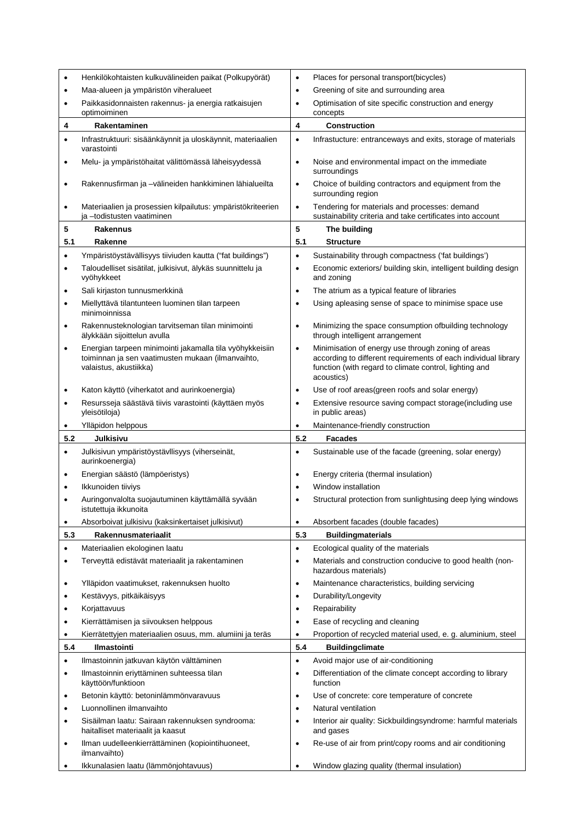|           | Henkilökohtaisten kulkuvälineiden paikat (Polkupyörät)                                                                                  | ٠         | Places for personal transport(bicycles)                                                                                                                                                      |
|-----------|-----------------------------------------------------------------------------------------------------------------------------------------|-----------|----------------------------------------------------------------------------------------------------------------------------------------------------------------------------------------------|
| ٠         | Maa-alueen ja ympäristön viheralueet                                                                                                    | $\bullet$ | Greening of site and surrounding area                                                                                                                                                        |
| $\bullet$ | Paikkasidonnaisten rakennus- ja energia ratkaisujen<br>optimoiminen                                                                     | ٠         | Optimisation of site specific construction and energy<br>concepts                                                                                                                            |
| 4         | Rakentaminen                                                                                                                            | 4         | <b>Construction</b>                                                                                                                                                                          |
| $\bullet$ | Infrastruktuuri: sisäänkäynnit ja uloskäynnit, materiaalien<br>varastointi                                                              | $\bullet$ | Infrastucture: entranceways and exits, storage of materials                                                                                                                                  |
| ٠         | Melu- ja ympäristöhaitat välittömässä läheisyydessä                                                                                     | $\bullet$ | Noise and environmental impact on the immediate<br>surroundings                                                                                                                              |
| ٠         | Rakennusfirman ja -välineiden hankkiminen lähialueilta                                                                                  | $\bullet$ | Choice of building contractors and equipment from the<br>surrounding region                                                                                                                  |
| ٠         | Materiaalien ja prosessien kilpailutus: ympäristökriteerien<br>ja -todistusten vaatiminen                                               | $\bullet$ | Tendering for materials and processes: demand<br>sustainability criteria and take certificates into account                                                                                  |
| 5         | Rakennus                                                                                                                                | 5         | The building                                                                                                                                                                                 |
| 5.1       | Rakenne                                                                                                                                 | 5.1       | <b>Structure</b>                                                                                                                                                                             |
| ٠         | Ympäristöystävällisyys tiiviuden kautta ("fat buildings")                                                                               |           | Sustainability through compactness ('fat buildings')                                                                                                                                         |
| $\bullet$ | Taloudelliset sisätilat, julkisivut, älykäs suunnittelu ja<br>vyöhykkeet                                                                |           | Economic exteriors/ building skin, intelligent building design<br>and zoning                                                                                                                 |
| ٠         | Sali kirjaston tunnusmerkkinä                                                                                                           | $\bullet$ | The atrium as a typical feature of libraries                                                                                                                                                 |
| $\bullet$ | Miellyttävä tilantunteen luominen tilan tarpeen<br>minimoinnissa                                                                        | $\bullet$ | Using apleasing sense of space to minimise space use                                                                                                                                         |
| ٠         | Rakennusteknologian tarvitseman tilan minimointi<br>älykkään sijoittelun avulla                                                         | $\bullet$ | Minimizing the space consumption ofbuilding technology<br>through intelligent arrangement                                                                                                    |
| $\bullet$ | Energian tarpeen minimointi jakamalla tila vyöhykkeisiin<br>toiminnan ja sen vaatimusten mukaan (ilmanvaihto,<br>valaistus, akustiikka) | $\bullet$ | Minimisation of energy use through zoning of areas<br>according to different requirements of each individual library<br>function (with regard to climate control, lighting and<br>acoustics) |
| ٠         | Katon käyttö (viherkatot and aurinkoenergia)                                                                                            | $\bullet$ | Use of roof areas(green roofs and solar energy)                                                                                                                                              |
| $\bullet$ | Resursseja säästävä tiivis varastointi (käyttäen myös<br>yleisötiloja)                                                                  | ٠         | Extensive resource saving compact storage(including use<br>in public areas)                                                                                                                  |
|           |                                                                                                                                         |           |                                                                                                                                                                                              |
| ٠         | Ylläpidon helppous                                                                                                                      | $\bullet$ | Maintenance-friendly construction                                                                                                                                                            |
| 5.2       | <b>Julkisivu</b>                                                                                                                        | 5.2       | <b>Facades</b>                                                                                                                                                                               |
| $\bullet$ | Julkisivun ympäristöystävllisyys (viherseinät,<br>aurinkoenergia)                                                                       |           | Sustainable use of the facade (greening, solar energy)                                                                                                                                       |
| ٠         | Energian säästö (lämpöeristys)                                                                                                          |           | Energy criteria (thermal insulation)                                                                                                                                                         |
|           | Ikkunoiden tiiviys                                                                                                                      |           | Window installation                                                                                                                                                                          |
|           | Auringonvalolta suojautuminen käyttämällä syvään<br>istutettuja ikkunoita                                                               | ٠         | Structural protection from sunlightusing deep lying windows                                                                                                                                  |
|           | Absorboivat julkisivu (kaksinkertaiset julkisivut)                                                                                      | $\bullet$ | Absorbent facades (double facades)                                                                                                                                                           |
| 5.3       | Rakennusmateriaalit                                                                                                                     | 5.3       | <b>Buildingmaterials</b>                                                                                                                                                                     |
| ٠         | Materiaalien ekologinen laatu                                                                                                           |           | Ecological quality of the materials                                                                                                                                                          |
| ٠         | Terveyttä edistävät materiaalit ja rakentaminen                                                                                         | ٠         | Materials and construction conducive to good health (non-<br>hazardous materials)                                                                                                            |
| ٠         | Ylläpidon vaatimukset, rakennuksen huolto                                                                                               | $\bullet$ | Maintenance characteristics, building servicing                                                                                                                                              |
| $\bullet$ | Kestävyys, pitkäikäisyys                                                                                                                | $\bullet$ | Durability/Longevity                                                                                                                                                                         |
| $\bullet$ | Korjattavuus                                                                                                                            | ٠         | Repairability                                                                                                                                                                                |
| $\bullet$ | Kierrättämisen ja siivouksen helppous                                                                                                   | $\bullet$ | Ease of recycling and cleaning                                                                                                                                                               |
| ٠         | Kierrätettyjen materiaalien osuus, mm. alumiini ja teräs                                                                                | ٠         | Proportion of recycled material used, e. g. aluminium, steel                                                                                                                                 |
| 5.4       | Ilmastointi                                                                                                                             | 5.4       | <b>Buildingclimate</b>                                                                                                                                                                       |
| $\bullet$ | Ilmastoinnin jatkuvan käytön välttäminen                                                                                                |           | Avoid major use of air-conditioning                                                                                                                                                          |
| ٠         | Ilmastoinnin eriyttäminen suhteessa tilan<br>käyttöön/funktioon                                                                         | ٠         | Differentiation of the climate concept according to library<br>function                                                                                                                      |
| ٠         | Betonin käyttö: betoninlämmönvaravuus                                                                                                   | ٠         | Use of concrete: core temperature of concrete                                                                                                                                                |
| $\bullet$ | Luonnollinen ilmanvaihto                                                                                                                | $\bullet$ | Natural ventilation                                                                                                                                                                          |
| $\bullet$ | Sisäilman laatu: Sairaan rakennuksen syndrooma:<br>haitalliset materiaalit ja kaasut                                                    | $\bullet$ | Interior air quality: Sickbuildingsyndrome: harmful materials<br>and gases                                                                                                                   |
| $\bullet$ | Ilman uudelleenkierrättäminen (kopiointihuoneet,<br>ilmanvaihto)                                                                        | ٠         | Re-use of air from print/copy rooms and air conditioning<br>Window glazing quality (thermal insulation)                                                                                      |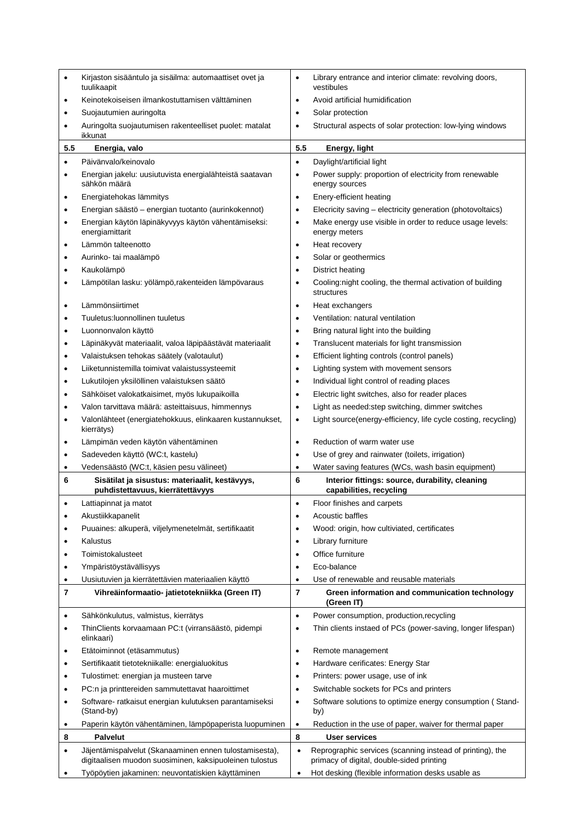| ٠                       | Kirjaston sisääntulo ja sisäilma: automaattiset ovet ja<br>tuulikaapit                                            | ٠              | Library entrance and interior climate: revolving doors,<br>vestibules                                               |
|-------------------------|-------------------------------------------------------------------------------------------------------------------|----------------|---------------------------------------------------------------------------------------------------------------------|
| ٠                       | Keinotekoiseisen ilmankostuttamisen välttäminen                                                                   | $\bullet$      | Avoid artificial humidification                                                                                     |
| ٠                       | Suojautumien auringolta                                                                                           | $\bullet$      | Solar protection                                                                                                    |
| ٠                       | Auringolta suojautumisen rakenteelliset puolet: matalat                                                           | $\bullet$      | Structural aspects of solar protection: low-lying windows                                                           |
|                         | ikkunat                                                                                                           |                |                                                                                                                     |
| 5.5                     | Energia, valo                                                                                                     | 5.5            | Energy, light                                                                                                       |
| $\bullet$               | Päivänvalo/keinovalo                                                                                              | $\bullet$      | Daylight/artificial light                                                                                           |
| ٠                       | Energian jakelu: uusiutuvista energialähteistä saatavan<br>sähkön määrä                                           | ٠              | Power supply: proportion of electricity from renewable<br>energy sources                                            |
| ٠                       | Energiatehokas lämmitys                                                                                           | $\bullet$      | Enery-efficient heating                                                                                             |
| ٠                       | Energian säästö – energian tuotanto (aurinkokennot)                                                               | $\bullet$      | Elecricity saving - electricity generation (photovoltaics)                                                          |
| ٠                       | Energian käytön läpinäkyvyys käytön vähentämiseksi:<br>energiamittarit                                            | ٠              | Make energy use visible in order to reduce usage levels:<br>energy meters                                           |
| $\bullet$               | Lämmön talteenotto                                                                                                | $\bullet$      | Heat recovery                                                                                                       |
| ٠                       | Aurinko- tai maalämpö                                                                                             | $\bullet$      | Solar or geothermics                                                                                                |
| ٠                       | Kaukolämpö                                                                                                        | $\bullet$      | District heating                                                                                                    |
| $\bullet$               | Lämpötilan lasku: yölämpö, rakenteiden lämpövaraus                                                                | $\bullet$      | Cooling:night cooling, the thermal activation of building                                                           |
| $\bullet$               | Lämmönsiirtimet                                                                                                   | $\bullet$      | structures<br>Heat exchangers                                                                                       |
| ٠                       | Tuuletus: luonnollinen tuuletus                                                                                   | $\bullet$      | Ventilation: natural ventilation                                                                                    |
|                         | Luonnonvalon käyttö                                                                                               |                | Bring natural light into the building                                                                               |
| ٠                       |                                                                                                                   | $\bullet$      | Translucent materials for light transmission                                                                        |
| ٠<br>٠                  | Läpinäkyvät materiaalit, valoa läpipäästävät materiaalit<br>Valaistuksen tehokas säätely (valotaulut)             | $\bullet$<br>٠ | Efficient lighting controls (control panels)                                                                        |
|                         |                                                                                                                   |                |                                                                                                                     |
| ٠                       | Liiketunnistemilla toimivat valaistussysteemit                                                                    | $\bullet$      | Lighting system with movement sensors                                                                               |
| ٠                       | Lukutilojen yksilöllinen valaistuksen säätö                                                                       | $\bullet$      | Individual light control of reading places                                                                          |
| $\bullet$               | Sähköiset valokatkaisimet, myös lukupaikoilla                                                                     | $\bullet$      | Electric light switches, also for reader places                                                                     |
| ٠                       | Valon tarvittava määrä: asteittaisuus, himmennys                                                                  | $\bullet$      | Light as needed: step switching, dimmer switches<br>Light source (energy-efficiency, life cycle costing, recycling) |
| ٠                       | Valonlähteet (energiatehokkuus, elinkaaren kustannukset,<br>kierrätys)                                            | $\bullet$      |                                                                                                                     |
| ٠                       | Lämpimän veden käytön vähentäminen                                                                                | $\bullet$      | Reduction of warm water use                                                                                         |
| ٠                       | Sadeveden käyttö (WC:t, kastelu)                                                                                  | $\bullet$      | Use of grey and rainwater (toilets, irrigation)                                                                     |
| ٠                       | Vedensäästö (WC:t, käsien pesu välineet)                                                                          | $\bullet$      | Water saving features (WCs, wash basin equipment)                                                                   |
| 6                       | Sisätilat ja sisustus: materiaalit, kestävyys,<br>puhdistettavuus, kierrätettävyys                                | 6              | Interior fittings: source, durability, cleaning<br>capabilities, recycling                                          |
| ٠                       | Lattiapinnat ja matot                                                                                             | $\bullet$      | Floor finishes and carpets                                                                                          |
| $\bullet$               | Akustiikkapanelit                                                                                                 | $\bullet$      | <b>Acoustic baffles</b>                                                                                             |
| ٠                       | Puuaines: alkuperä, viljelymenetelmät, sertifikaatit                                                              | $\bullet$      | Wood: origin, how cultiviated, certificates                                                                         |
| ٠                       | Kalustus                                                                                                          | $\bullet$      | Library furniture                                                                                                   |
| $\bullet$               | Toimistokalusteet                                                                                                 | $\bullet$      | Office furniture                                                                                                    |
| ٠                       | Ympäristöystävällisyys                                                                                            | ٠              | Eco-balance                                                                                                         |
| ٠                       | Uusiutuvien ja kierrätettävien materiaalien käyttö                                                                |                | Use of renewable and reusable materials                                                                             |
| $\overline{\mathbf{r}}$ | Vihreäinformaatio- jatietotekniikka (Green IT)                                                                    | 7              | Green information and communication technology<br>(Green IT)                                                        |
| ٠                       | Sähkönkulutus, valmistus, kierrätys                                                                               |                | Power consumption, production, recycling                                                                            |
| ٠                       | ThinClients korvaamaan PC:t (virransäästö, pidempi<br>elinkaari)                                                  | $\bullet$      | Thin clients instaed of PCs (power-saving, longer lifespan)                                                         |
| $\bullet$               | Etätoiminnot (etäsammutus)                                                                                        | $\bullet$      | Remote management                                                                                                   |
| $\bullet$               | Sertifikaatit tietotekniikalle: energialuokitus                                                                   | $\bullet$      | Hardware cerificates: Energy Star                                                                                   |
| ٠                       | Tulostimet: energian ja musteen tarve                                                                             | $\bullet$      | Printers: power usage, use of ink                                                                                   |
| ٠                       | PC:n ja printtereiden sammutettavat haaroittimet                                                                  | $\bullet$      | Switchable sockets for PCs and printers                                                                             |
| ٠                       | Software- ratkaisut energian kulutuksen parantamiseksi<br>(Stand-by)                                              | ٠              | Software solutions to optimize energy consumption (Stand-<br>by)                                                    |
| $\bullet$               | Paperin käytön vähentäminen, lämpöpaperista luopuminen                                                            | $\bullet$      | Reduction in the use of paper, waiver for thermal paper                                                             |
| 8                       | <b>Palvelut</b>                                                                                                   | 8              | User services                                                                                                       |
| $\bullet$               | Jäjentämispalvelut (Skanaaminen ennen tulostamisesta),<br>digitaalisen muodon suosiminen, kaksipuoleinen tulostus | $\bullet$      | Reprographic services (scanning instead of printing), the<br>primacy of digital, double-sided printing              |
| ٠                       | Työpöytien jakaminen: neuvontatiskien käyttäminen                                                                 | $\bullet$      | Hot desking (flexible information desks usable as                                                                   |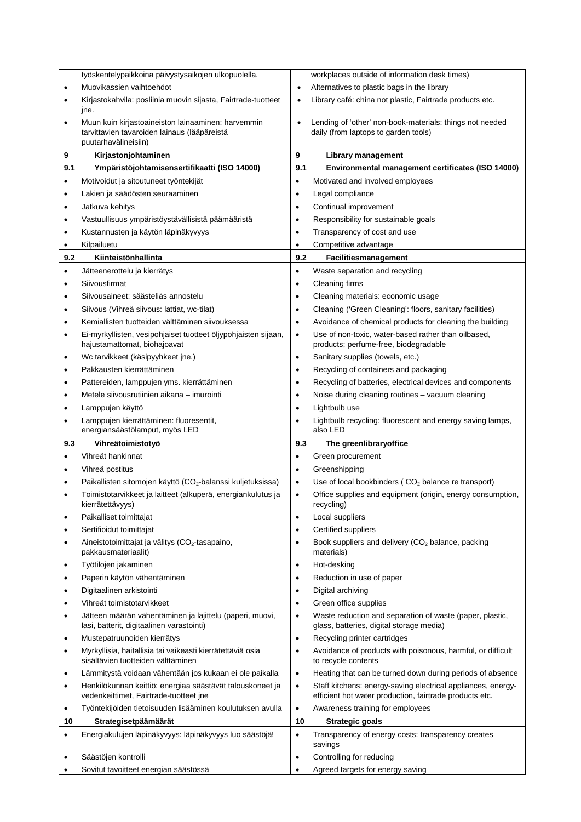|                        | työskentelypaikkoina päivystysaikojen ulkopuolella.                                                                                     |                        | workplaces outside of information desk times)                                                                                 |
|------------------------|-----------------------------------------------------------------------------------------------------------------------------------------|------------------------|-------------------------------------------------------------------------------------------------------------------------------|
| $\bullet$              | Muovikassien vaihtoehdot                                                                                                                | ٠                      | Alternatives to plastic bags in the library                                                                                   |
| ٠                      | Kirjastokahvila: posliinia muovin sijasta, Fairtrade-tuotteet<br>jne.                                                                   | ٠                      | Library café: china not plastic, Fairtrade products etc.                                                                      |
| ٠                      | Muun kuin kirjastoaineiston lainaaminen: harvemmin<br>tarvittavien tavaroiden lainaus (lääpäreistä<br>puutarhavälineisiin)              | $\bullet$              | Lending of 'other' non-book-materials: things not needed<br>daily (from laptops to garden tools)                              |
| 9                      | Kirjastonjohtaminen                                                                                                                     | 9                      | Library management                                                                                                            |
| 9.1                    | Ympäristöjohtamisensertifikaatti (ISO 14000)                                                                                            | 9.1                    | Environmental management certificates (ISO 14000)                                                                             |
| $\bullet$              | Motivoidut ja sitoutuneet työntekijät                                                                                                   | $\bullet$              | Motivated and involved employees                                                                                              |
| ٠                      | Lakien ja säädösten seuraaminen                                                                                                         | $\bullet$              | Legal compliance                                                                                                              |
| $\bullet$              | Jatkuva kehitys                                                                                                                         | $\bullet$              | Continual improvement                                                                                                         |
| $\bullet$              | Vastuullisuus ympäristöystävällisistä päämääristä                                                                                       | $\bullet$              | Responsibility for sustainable goals                                                                                          |
| ٠                      | Kustannusten ja käytön läpinäkyvyys                                                                                                     | $\bullet$              | Transparency of cost and use                                                                                                  |
| ٠                      | Kilpailuetu                                                                                                                             | $\bullet$              | Competitive advantage                                                                                                         |
| 9.2                    | Kiinteistönhallinta                                                                                                                     | 9.2                    | Facilitiesmanagement                                                                                                          |
| $\bullet$              | Jätteenerottelu ja kierrätys                                                                                                            | $\bullet$              | Waste separation and recycling                                                                                                |
| ٠                      | Siivousfirmat                                                                                                                           | $\bullet$              | Cleaning firms                                                                                                                |
| $\bullet$              | Siivousaineet: säästeliäs annostelu                                                                                                     | $\bullet$              | Cleaning materials: economic usage                                                                                            |
| $\bullet$              | Siivous (Vihreä siivous: lattiat, wc-tilat)                                                                                             | $\bullet$              | Cleaning ('Green Cleaning': floors, sanitary facilities)                                                                      |
| $\bullet$              | Kemiallisten tuotteiden välttäminen siivouksessa                                                                                        | $\bullet$              | Avoidance of chemical products for cleaning the building                                                                      |
| ٠                      | Ei-myrkyllisten, vesipohjaiset tuotteet öljypohjaisten sijaan,<br>hajustamattomat, biohajoavat                                          | $\bullet$              | Use of non-toxic, water-based rather than oilbased,<br>products; perfume-free, biodegradable                                  |
| ٠                      | Wc tarvikkeet (käsipyyhkeet jne.)                                                                                                       | $\bullet$              | Sanitary supplies (towels, etc.)                                                                                              |
| ٠                      | Pakkausten kierrättäminen                                                                                                               | $\bullet$              | Recycling of containers and packaging                                                                                         |
| $\bullet$              | Pattereiden, lamppujen yms. kierrättäminen                                                                                              | $\bullet$              | Recycling of batteries, electrical devices and components                                                                     |
| $\bullet$              | Metele siivousrutiinien aikana – imurointi                                                                                              | $\bullet$              | Noise during cleaning routines - vacuum cleaning                                                                              |
| ٠                      | Lamppujen käyttö                                                                                                                        | $\bullet$              | Lightbulb use                                                                                                                 |
|                        | Lamppujen kierrättäminen: fluoresentit,                                                                                                 | $\bullet$              | Lightbulb recycling: fluorescent and energy saving lamps,                                                                     |
|                        |                                                                                                                                         |                        |                                                                                                                               |
|                        | energiansäästölamput, myös LED                                                                                                          |                        | also LED                                                                                                                      |
| 9.3                    | Vihreätoimistotyö                                                                                                                       | 9.3                    | The greenlibraryoffice                                                                                                        |
| ٠                      | Vihreät hankinnat                                                                                                                       | $\bullet$              | Green procurement                                                                                                             |
| ٠                      | Vihreä postitus                                                                                                                         | $\bullet$              | Greenshipping                                                                                                                 |
| $\bullet$<br>$\bullet$ | Paikallisten sitomojen käyttö (CO <sub>2</sub> -balanssi kuljetuksissa)<br>Toimistotarvikkeet ja laitteet (alkuperä, energiankulutus ja | $\bullet$<br>$\bullet$ | Use of local bookbinders (CO <sub>2</sub> balance re transport)<br>Office supplies and equipment (origin, energy consumption, |
|                        | kierrätettävyys)                                                                                                                        |                        | recycling)                                                                                                                    |
| ٠                      | Paikalliset toimittajat                                                                                                                 | $\bullet$              | Local suppliers                                                                                                               |
| $\bullet$              | Sertifioidut toimittajat                                                                                                                | ٠                      | Certified suppliers                                                                                                           |
| ٠                      | Aineistotoimittajat ja välitys (CO <sub>2</sub> -tasapaino,<br>pakkausmateriaalit)                                                      | ٠                      | Book suppliers and delivery (CO <sub>2</sub> balance, packing<br>materials)                                                   |
| ٠                      | Työtilojen jakaminen                                                                                                                    | $\bullet$              | Hot-desking                                                                                                                   |
| ٠                      | Paperin käytön vähentäminen                                                                                                             | ٠                      | Reduction in use of paper                                                                                                     |
| ٠                      | Digitaalinen arkistointi                                                                                                                | $\bullet$              | Digital archiving                                                                                                             |
| ٠                      | Vihreät toimistotarvikkeet                                                                                                              | $\bullet$              | Green office supplies                                                                                                         |
| ٠                      | Jätteen määrän vähentäminen ja lajittelu (paperi, muovi,<br>lasi, batterit, digitaalinen varastointi)                                   | ٠                      | Waste reduction and separation of waste (paper, plastic,<br>glass, batteries, digital storage media)                          |
| ٠                      | Mustepatruunoiden kierrätys                                                                                                             | $\bullet$              | Recycling printer cartridges                                                                                                  |
| ٠                      | Myrkyllisia, haitallisia tai vaikeasti kierrätettäviä osia<br>sisältävien tuotteiden välttäminen                                        | ٠                      | Avoidance of products with poisonous, harmful, or difficult<br>to recycle contents                                            |
| ٠                      | Lämmitystä voidaan vähentään jos kukaan ei ole paikalla                                                                                 | $\bullet$              | Heating that can be turned down during periods of absence                                                                     |
| ٠                      | Henkilökunnan keittiö: energiaa säästävät talouskoneet ja<br>vedenkeittimet, Fairtrade-tuotteet jne                                     | $\bullet$              | Staff kitchens: energy-saving electrical appliances, energy-<br>efficient hot water production, fairtrade products etc.       |
| ٠                      | Työntekijöiden tietoisuuden lisääminen koulutuksen avulla                                                                               | $\bullet$              | Awareness training for employees                                                                                              |
| 10                     | Strategisetpäämäärät                                                                                                                    | 10                     | <b>Strategic goals</b>                                                                                                        |
| $\bullet$              | Energiakulujen läpinäkyvyys: läpinäkyvyys luo säästöjä!                                                                                 | $\bullet$              | Transparency of energy costs: transparency creates<br>savings                                                                 |
|                        | Säästöjen kontrolli                                                                                                                     | $\bullet$              | Controlling for reducing                                                                                                      |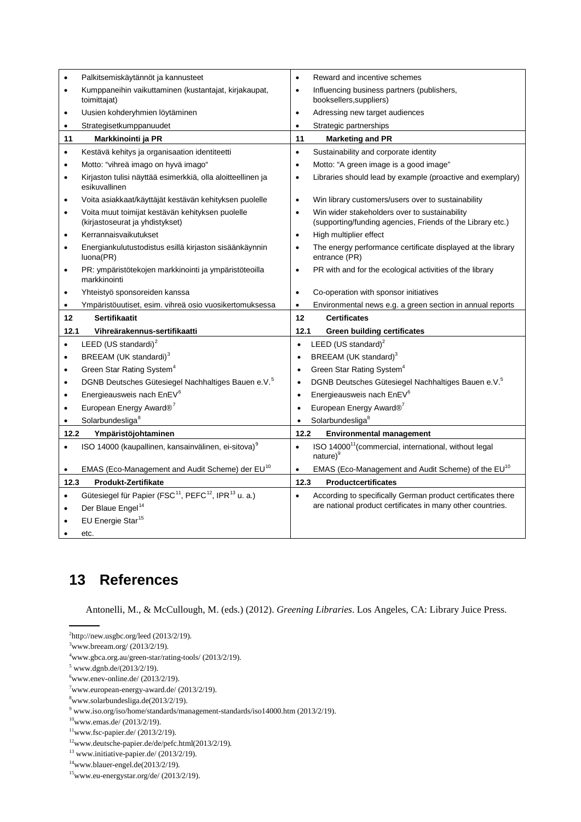|           | Palkitsemiskäytännöt ja kannusteet                                                       | $\bullet$ | Reward and incentive schemes                                                                                |
|-----------|------------------------------------------------------------------------------------------|-----------|-------------------------------------------------------------------------------------------------------------|
| $\bullet$ | Kumppaneihin vaikuttaminen (kustantajat, kirjakaupat,<br>toimittajat)                    | $\bullet$ | Influencing business partners (publishers,<br>booksellers, suppliers)                                       |
| $\bullet$ | Uusien kohderyhmien löytäminen                                                           | $\bullet$ | Adressing new target audiences                                                                              |
|           | Strategisetkumppanuudet                                                                  | $\bullet$ | Strategic partnerships                                                                                      |
| 11        | Markkinointi ja PR                                                                       | 11        | <b>Marketing and PR</b>                                                                                     |
| $\bullet$ | Kestävä kehitys ja organisaation identiteetti                                            | $\bullet$ | Sustainability and corporate identity                                                                       |
| $\bullet$ | Motto: "vihreä imago on hyvä imago"                                                      | $\bullet$ | Motto: "A green image is a good image"                                                                      |
| $\bullet$ | Kirjaston tulisi näyttää esimerkkiä, olla aloitteellinen ja<br>esikuvallinen             | $\bullet$ | Libraries should lead by example (proactive and exemplary)                                                  |
| $\bullet$ | Voita asiakkaat/käyttäjät kestävän kehityksen puolelle                                   | $\bullet$ | Win library customers/users over to sustainability                                                          |
| $\bullet$ | Voita muut toimijat kestävän kehityksen puolelle<br>(kirjastoseurat ja yhdistykset)      | $\bullet$ | Win wider stakeholders over to sustainability<br>(supporting/funding agencies, Friends of the Library etc.) |
| $\bullet$ | Kerrannaisvaikutukset                                                                    | $\bullet$ | High multiplier effect                                                                                      |
| $\bullet$ | Energiankulutustodistus esillä kirjaston sisäänkäynnin<br>luona(PR)                      | $\bullet$ | The energy performance certificate displayed at the library<br>entrance (PR)                                |
| $\bullet$ | PR: ympäristötekojen markkinointi ja ympäristöteoilla<br>markkinointi                    | $\bullet$ | PR with and for the ecological activities of the library                                                    |
| $\bullet$ | Yhteistyö sponsoreiden kanssa                                                            | $\bullet$ | Co-operation with sponsor initiatives                                                                       |
| $\bullet$ | Ympäristöuutiset, esim. vihreä osio vuosikertomuksessa                                   | $\bullet$ | Environmental news e.g. a green section in annual reports                                                   |
|           |                                                                                          |           |                                                                                                             |
| 12        | <b>Sertifikaatit</b>                                                                     | 12        | <b>Certificates</b>                                                                                         |
| 12.1      | Vihreärakennus-sertifikaatti                                                             | 12.1      | <b>Green building certificates</b>                                                                          |
| $\bullet$ | LEED (US standardi) <sup>2</sup>                                                         | $\bullet$ | LEED (US standard) $2$                                                                                      |
| $\bullet$ | BREEAM (UK standardi) <sup>3</sup>                                                       | $\bullet$ | BREEAM (UK standard) <sup>3</sup>                                                                           |
| $\bullet$ | Green Star Rating System <sup>4</sup>                                                    | $\bullet$ | Green Star Rating System <sup>4</sup>                                                                       |
| $\bullet$ | DGNB Deutsches Gütesiegel Nachhaltiges Bauen e.V. <sup>5</sup>                           | $\bullet$ | DGNB Deutsches Gütesiegel Nachhaltiges Bauen e.V. <sup>5</sup>                                              |
| $\bullet$ | Energieausweis nach EnEV <sup>6</sup>                                                    | $\bullet$ | Energieausweis nach EnEV <sup>6</sup>                                                                       |
| $\bullet$ | European Energy Award® <sup>7</sup>                                                      | $\bullet$ | European Energy Award® <sup>7</sup>                                                                         |
|           | Solarbundesliga <sup>8</sup>                                                             | $\bullet$ | Solarbundesliga <sup>8</sup>                                                                                |
| 12.2      | Ympäristöjohtaminen                                                                      | 12.2      | <b>Environmental management</b>                                                                             |
|           | ISO 14000 (kaupallinen, kansainvälinen, ei-sitova) <sup>9</sup>                          | $\bullet$ | ISO 14000 <sup>11</sup> (commercial, international, without legal<br>nature) <sup>9</sup>                   |
|           | EMAS (Eco-Management and Audit Scheme) der EU <sup>10</sup>                              | ٠         | EMAS (Eco-Management and Audit Scheme) of the EU <sup>10</sup>                                              |
| 12.3      | Produkt-Zertifikate                                                                      | 12.3      | <b>Productcertificates</b>                                                                                  |
| ٠         | Gütesiegel für Papier (FSC <sup>11</sup> , PEFC <sup>12</sup> , IPR <sup>13</sup> u. a.) | $\bullet$ | According to specifically German product certificates there                                                 |
| $\bullet$ | Der Blaue Engel <sup>14</sup>                                                            |           | are national product certificates in many other countries.                                                  |
|           | EU Energie Star <sup>15</sup>                                                            |           |                                                                                                             |

## **13 References**

Antonelli, M., & McCullough, M. (eds.) (2012). *Greening Libraries*. Los Angeles, CA: Library Juice Press.

<span id="page-4-0"></span><sup>2</sup> http://new.usgbc.org/leed (2013/2/19).

<span id="page-4-1"></span> $3$ www.breeam.org/ (2013/2/19).

<sup>4</sup> www.gbca.org.au/green-star/rating-tools/ (2013/2/19).

<span id="page-4-3"></span><span id="page-4-2"></span> $5$  www.dgnb.de/(2013/2/19).

<span id="page-4-4"></span> $6$ www.enev-online.de/ (2013/2/19).

<span id="page-4-5"></span> $7$ www.european-energy-award.de/ (2013/2/19).

<sup>8</sup> [www.solarbundesliga.de\(](http://www.solarbundesliga.de/)2013/2/19).

<span id="page-4-8"></span><span id="page-4-7"></span><span id="page-4-6"></span><sup>9</sup> www.iso.org/iso/home/standards/management-standards/iso14000.htm (2013/2/19).

 $10$ www.emas.de/ (2013/2/19).

<span id="page-4-9"></span> $11$ www.fsc-papier.de/ (2013/2/19).

[<sup>12</sup>www.deutsche-papier.de/de/pefc.html\(](http://www.deutsche-papier.de/de/pefc.html)2013/2/19)*.*

<span id="page-4-11"></span><span id="page-4-10"></span> $^{13}$  www.initiative-papier.de/ (2013/2/19).

[<sup>14</sup>www.blauer-engel.de\(](http://www.blauer-engel.de/)2013/2/19)*.*

<span id="page-4-13"></span><span id="page-4-12"></span> $15$ www.eu-energystar.org/de/ (2013/2/19).